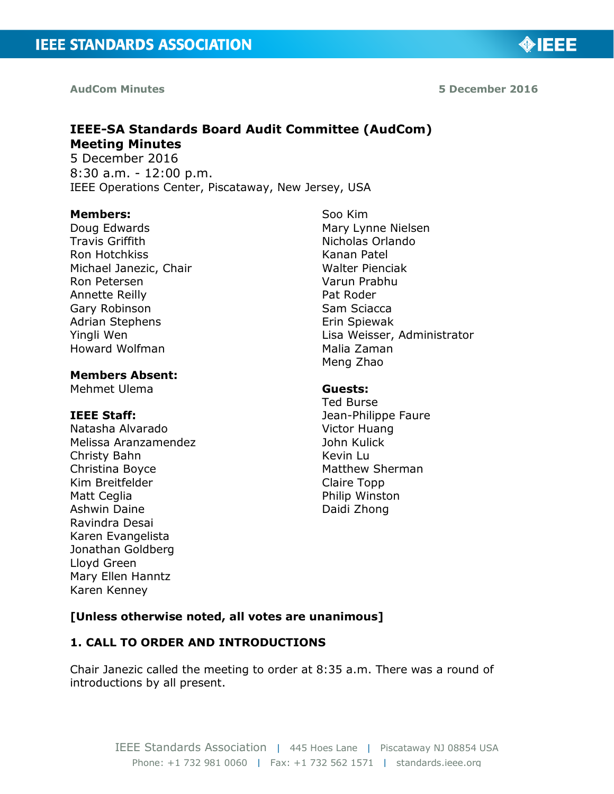**AudCom Minutes 5 December 2016**

◈IEEE

# **IEEE-SA Standards Board Audit Committee (AudCom) Meeting Minutes**

5 December 2016 8:30 a.m. - 12:00 p.m. IEEE Operations Center, Piscataway, New Jersey, USA

#### **Members:**

Doug Edwards Travis Griffith Ron Hotchkiss Michael Janezic, Chair Ron Petersen Annette Reilly Gary Robinson Adrian Stephens Yingli Wen Howard Wolfman

### **Members Absent:**

Mehmet Ulema

### **IEEE Staff:**

Natasha Alvarado Melissa Aranzamendez Christy Bahn Christina Boyce Kim Breitfelder Matt Ceglia Ashwin Daine Ravindra Desai Karen Evangelista Jonathan Goldberg Lloyd Green Mary Ellen Hanntz Karen Kenney

Soo Kim Mary Lynne Nielsen Nicholas Orlando Kanan Patel Walter Pienciak Varun Prabhu Pat Roder Sam Sciacca Erin Spiewak Lisa Weisser, Administrator Malia Zaman Meng Zhao

#### **Guests:**

Ted Burse Jean-Philippe Faure Victor Huang John Kulick Kevin Lu Matthew Sherman Claire Topp Philip Winston Daidi Zhong

# **[Unless otherwise noted, all votes are unanimous]**

# **1. CALL TO ORDER AND INTRODUCTIONS**

Chair Janezic called the meeting to order at 8:35 a.m. There was a round of introductions by all present.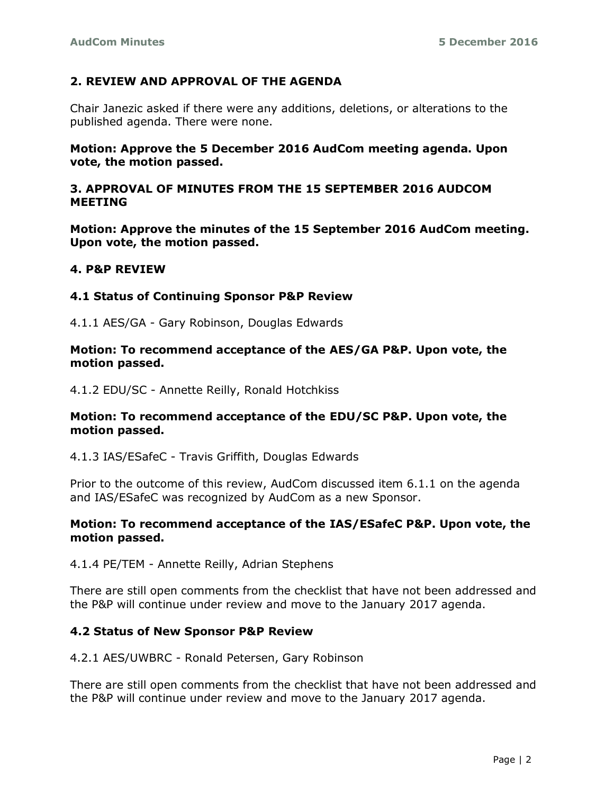### **2. REVIEW AND APPROVAL OF THE AGENDA**

Chair Janezic asked if there were any additions, deletions, or alterations to the published agenda. There were none.

**Motion: Approve the 5 December 2016 AudCom meeting agenda. Upon vote, the motion passed.**

### **3. APPROVAL OF MINUTES FROM THE 15 SEPTEMBER 2016 AUDCOM MEETING**

**Motion: Approve the minutes of the 15 September 2016 AudCom meeting. Upon vote, the motion passed.**

#### **4. P&P REVIEW**

#### **4.1 Status of Continuing Sponsor P&P Review**

4.1.1 AES/GA - Gary Robinson, Douglas Edwards

#### **Motion: To recommend acceptance of the AES/GA P&P. Upon vote, the motion passed.**

4.1.2 EDU/SC - Annette Reilly, Ronald Hotchkiss

#### **Motion: To recommend acceptance of the EDU/SC P&P. Upon vote, the motion passed.**

4.1.3 IAS/ESafeC - Travis Griffith, Douglas Edwards

Prior to the outcome of this review, AudCom discussed item 6.1.1 on the agenda and IAS/ESafeC was recognized by AudCom as a new Sponsor.

#### **Motion: To recommend acceptance of the IAS/ESafeC P&P. Upon vote, the motion passed.**

4.1.4 PE/TEM - Annette Reilly, Adrian Stephens

There are still open comments from the checklist that have not been addressed and the P&P will continue under review and move to the January 2017 agenda.

#### **4.2 Status of New Sponsor P&P Review**

4.2.1 AES/UWBRC - Ronald Petersen, Gary Robinson

There are still open comments from the checklist that have not been addressed and the P&P will continue under review and move to the January 2017 agenda.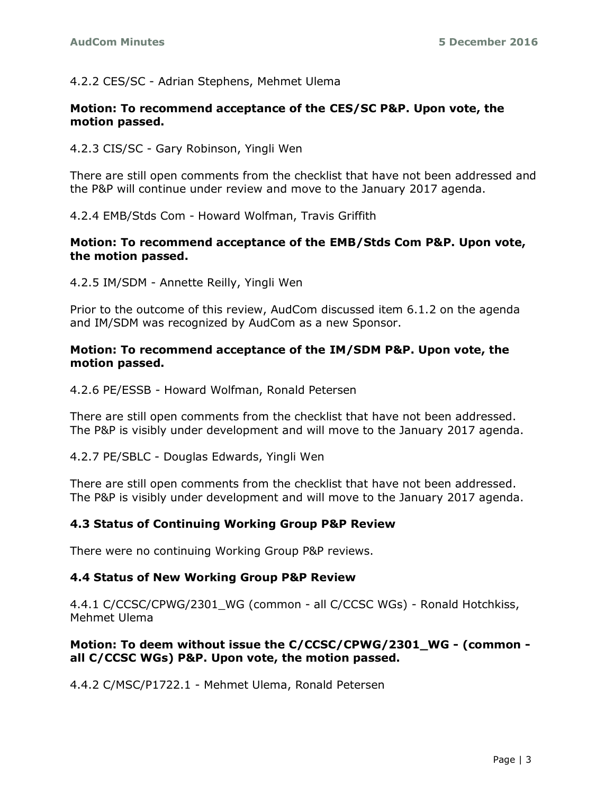# 4.2.2 CES/SC - Adrian Stephens, Mehmet Ulema

### **Motion: To recommend acceptance of the CES/SC P&P. Upon vote, the motion passed.**

4.2.3 CIS/SC - Gary Robinson, Yingli Wen

There are still open comments from the checklist that have not been addressed and the P&P will continue under review and move to the January 2017 agenda.

4.2.4 EMB/Stds Com - Howard Wolfman, Travis Griffith

### **Motion: To recommend acceptance of the EMB/Stds Com P&P. Upon vote, the motion passed.**

4.2.5 IM/SDM - Annette Reilly, Yingli Wen

Prior to the outcome of this review, AudCom discussed item 6.1.2 on the agenda and IM/SDM was recognized by AudCom as a new Sponsor.

#### **Motion: To recommend acceptance of the IM/SDM P&P. Upon vote, the motion passed.**

4.2.6 PE/ESSB - Howard Wolfman, Ronald Petersen

There are still open comments from the checklist that have not been addressed. The P&P is visibly under development and will move to the January 2017 agenda.

4.2.7 PE/SBLC - Douglas Edwards, Yingli Wen

There are still open comments from the checklist that have not been addressed. The P&P is visibly under development and will move to the January 2017 agenda.

# **4.3 Status of Continuing Working Group P&P Review**

There were no continuing Working Group P&P reviews.

#### **4.4 Status of New Working Group P&P Review**

4.4.1 C/CCSC/CPWG/2301\_WG (common - all C/CCSC WGs) - Ronald Hotchkiss, Mehmet Ulema

### **Motion: To deem without issue the C/CCSC/CPWG/2301\_WG - (common all C/CCSC WGs) P&P. Upon vote, the motion passed.**

4.4.2 C/MSC/P1722.1 - Mehmet Ulema, Ronald Petersen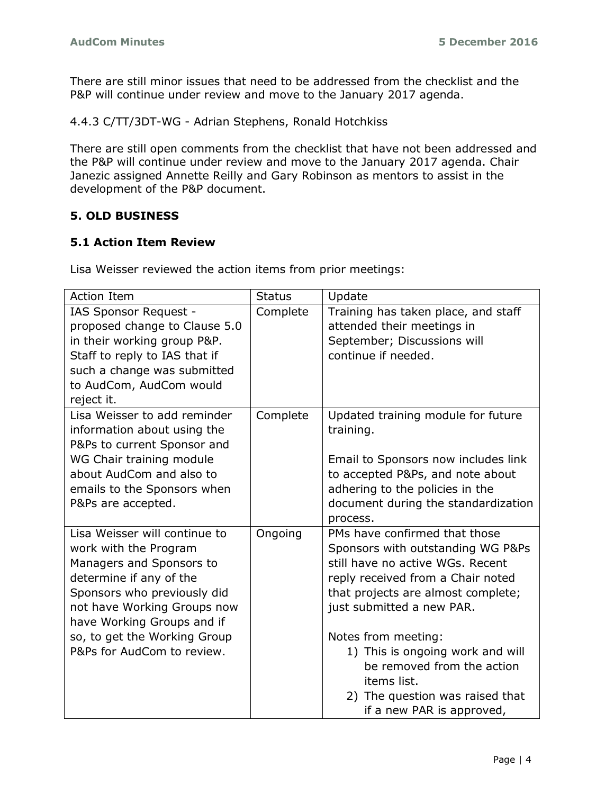There are still minor issues that need to be addressed from the checklist and the P&P will continue under review and move to the January 2017 agenda.

4.4.3 C/TT/3DT-WG - Adrian Stephens, Ronald Hotchkiss

There are still open comments from the checklist that have not been addressed and the P&P will continue under review and move to the January 2017 agenda. Chair Janezic assigned Annette Reilly and Gary Robinson as mentors to assist in the development of the P&P document.

# **5. OLD BUSINESS**

# **5.1 Action Item Review**

Lisa Weisser reviewed the action items from prior meetings:

| <b>Action Item</b>            | <b>Status</b> | Update                              |
|-------------------------------|---------------|-------------------------------------|
| IAS Sponsor Request -         | Complete      | Training has taken place, and staff |
| proposed change to Clause 5.0 |               | attended their meetings in          |
| in their working group P&P.   |               | September; Discussions will         |
| Staff to reply to IAS that if |               | continue if needed.                 |
| such a change was submitted   |               |                                     |
| to AudCom, AudCom would       |               |                                     |
| reject it.                    |               |                                     |
| Lisa Weisser to add reminder  | Complete      | Updated training module for future  |
| information about using the   |               | training.                           |
| P&Ps to current Sponsor and   |               |                                     |
| WG Chair training module      |               | Email to Sponsors now includes link |
| about AudCom and also to      |               | to accepted P&Ps, and note about    |
| emails to the Sponsors when   |               | adhering to the policies in the     |
| P&Ps are accepted.            |               | document during the standardization |
|                               |               | process.                            |
| Lisa Weisser will continue to | Ongoing       | PMs have confirmed that those       |
| work with the Program         |               | Sponsors with outstanding WG P&Ps   |
| Managers and Sponsors to      |               | still have no active WGs. Recent    |
| determine if any of the       |               | reply received from a Chair noted   |
| Sponsors who previously did   |               | that projects are almost complete;  |
| not have Working Groups now   |               | just submitted a new PAR.           |
| have Working Groups and if    |               |                                     |
| so, to get the Working Group  |               | Notes from meeting:                 |
| P&Ps for AudCom to review.    |               | 1) This is ongoing work and will    |
|                               |               | be removed from the action          |
|                               |               | items list.                         |
|                               |               | 2) The question was raised that     |
|                               |               | if a new PAR is approved,           |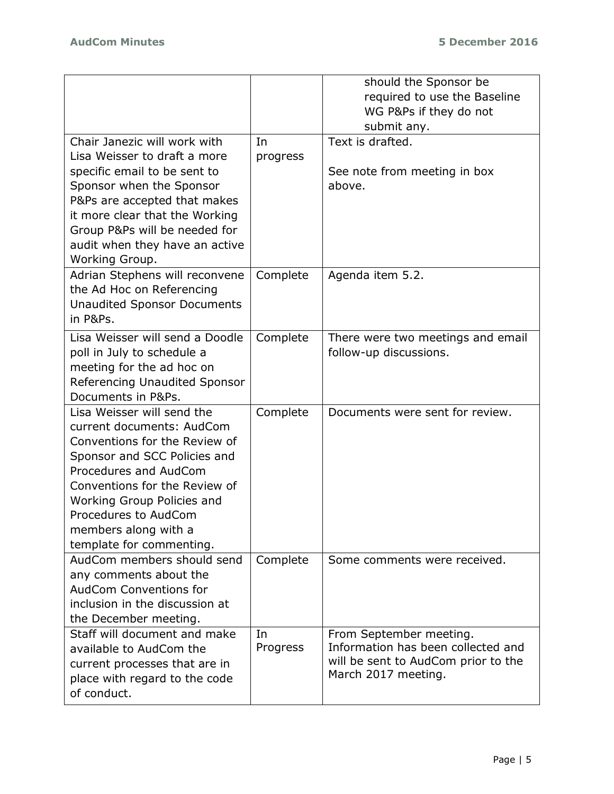|                                                          |          | should the Sponsor be<br>required to use the Baseline<br>WG P&Ps if they do not |
|----------------------------------------------------------|----------|---------------------------------------------------------------------------------|
|                                                          |          | submit any.                                                                     |
| Chair Janezic will work with                             | In       | Text is drafted.                                                                |
| Lisa Weisser to draft a more                             | progress |                                                                                 |
| specific email to be sent to<br>Sponsor when the Sponsor |          | See note from meeting in box<br>above.                                          |
| P&Ps are accepted that makes                             |          |                                                                                 |
| it more clear that the Working                           |          |                                                                                 |
| Group P&Ps will be needed for                            |          |                                                                                 |
| audit when they have an active<br>Working Group.         |          |                                                                                 |
| Adrian Stephens will reconvene                           | Complete | Agenda item 5.2.                                                                |
| the Ad Hoc on Referencing                                |          |                                                                                 |
| <b>Unaudited Sponsor Documents</b><br>in P&Ps.           |          |                                                                                 |
| Lisa Weisser will send a Doodle                          | Complete | There were two meetings and email                                               |
| poll in July to schedule a                               |          | follow-up discussions.                                                          |
| meeting for the ad hoc on                                |          |                                                                                 |
| Referencing Unaudited Sponsor<br>Documents in P&Ps.      |          |                                                                                 |
| Lisa Weisser will send the                               | Complete | Documents were sent for review.                                                 |
| current documents: AudCom                                |          |                                                                                 |
| Conventions for the Review of                            |          |                                                                                 |
| Sponsor and SCC Policies and                             |          |                                                                                 |
| Procedures and AudCom                                    |          |                                                                                 |
| Conventions for the Review of                            |          |                                                                                 |
| Working Group Policies and                               |          |                                                                                 |
| Procedures to AudCom<br>members along with a             |          |                                                                                 |
| template for commenting.                                 |          |                                                                                 |
| AudCom members should send                               | Complete | Some comments were received.                                                    |
| any comments about the                                   |          |                                                                                 |
| AudCom Conventions for                                   |          |                                                                                 |
| inclusion in the discussion at                           |          |                                                                                 |
| the December meeting.                                    |          |                                                                                 |
| Staff will document and make                             | In       | From September meeting.                                                         |
| available to AudCom the                                  | Progress | Information has been collected and                                              |
| current processes that are in                            |          | will be sent to AudCom prior to the<br>March 2017 meeting.                      |
| place with regard to the code                            |          |                                                                                 |
| of conduct.                                              |          |                                                                                 |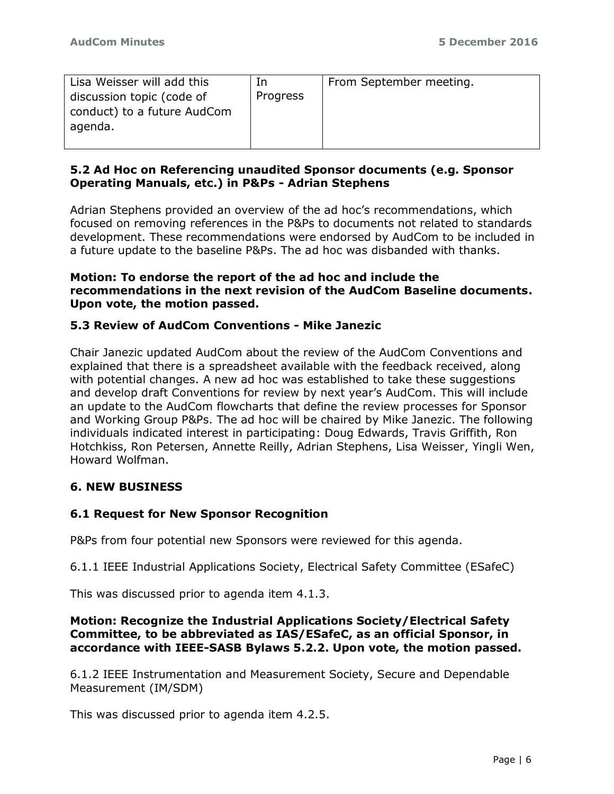| Lisa Weisser will add this<br>discussion topic (code of | In<br>Progress | From September meeting. |
|---------------------------------------------------------|----------------|-------------------------|
| conduct) to a future AudCom<br>agenda.                  |                |                         |

# **5.2 Ad Hoc on Referencing unaudited Sponsor documents (e.g. Sponsor Operating Manuals, etc.) in P&Ps - Adrian Stephens**

Adrian Stephens provided an overview of the ad hoc's recommendations, which focused on removing references in the P&Ps to documents not related to standards development. These recommendations were endorsed by AudCom to be included in a future update to the baseline P&Ps. The ad hoc was disbanded with thanks.

### **Motion: To endorse the report of the ad hoc and include the recommendations in the next revision of the AudCom Baseline documents. Upon vote, the motion passed.**

# **5.3 Review of AudCom Conventions - Mike Janezic**

Chair Janezic updated AudCom about the review of the AudCom Conventions and explained that there is a spreadsheet available with the feedback received, along with potential changes. A new ad hoc was established to take these suggestions and develop draft Conventions for review by next year's AudCom. This will include an update to the AudCom flowcharts that define the review processes for Sponsor and Working Group P&Ps. The ad hoc will be chaired by Mike Janezic. The following individuals indicated interest in participating: Doug Edwards, Travis Griffith, Ron Hotchkiss, Ron Petersen, Annette Reilly, Adrian Stephens, Lisa Weisser, Yingli Wen, Howard Wolfman.

# **6. NEW BUSINESS**

# **6.1 Request for New Sponsor Recognition**

P&Ps from four potential new Sponsors were reviewed for this agenda.

6.1.1 IEEE Industrial Applications Society, Electrical Safety Committee (ESafeC)

This was discussed prior to agenda item 4.1.3.

### **Motion: Recognize the Industrial Applications Society/Electrical Safety Committee, to be abbreviated as IAS/ESafeC, as an official Sponsor, in accordance with IEEE-SASB Bylaws 5.2.2. Upon vote, the motion passed.**

6.1.2 IEEE Instrumentation and Measurement Society, Secure and Dependable Measurement (IM/SDM)

This was discussed prior to agenda item 4.2.5.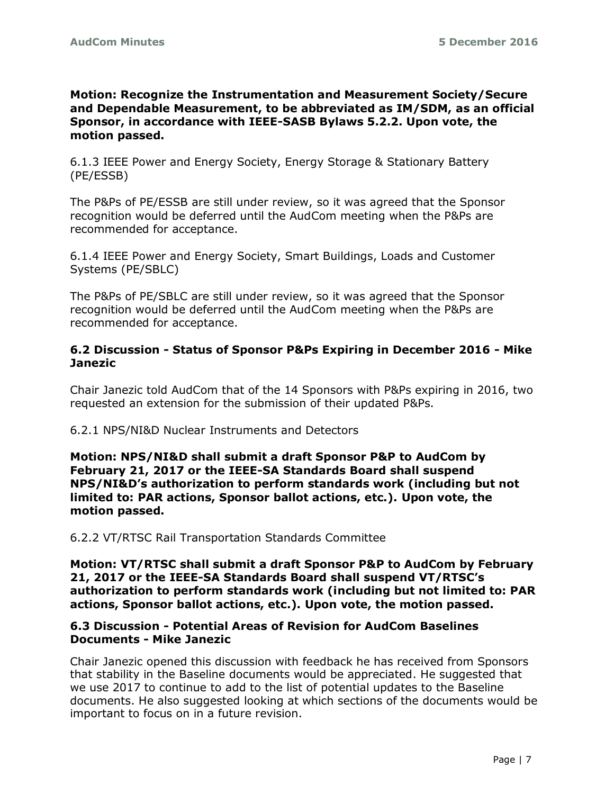**Motion: Recognize the Instrumentation and Measurement Society/Secure and Dependable Measurement, to be abbreviated as IM/SDM, as an official Sponsor, in accordance with IEEE-SASB Bylaws 5.2.2. Upon vote, the motion passed.**

6.1.3 IEEE Power and Energy Society, Energy Storage & Stationary Battery (PE/ESSB)

The P&Ps of PE/ESSB are still under review, so it was agreed that the Sponsor recognition would be deferred until the AudCom meeting when the P&Ps are recommended for acceptance.

6.1.4 IEEE Power and Energy Society, Smart Buildings, Loads and Customer Systems (PE/SBLC)

The P&Ps of PE/SBLC are still under review, so it was agreed that the Sponsor recognition would be deferred until the AudCom meeting when the P&Ps are recommended for acceptance.

# **6.2 Discussion - Status of Sponsor P&Ps Expiring in December 2016 - Mike Janezic**

Chair Janezic told AudCom that of the 14 Sponsors with P&Ps expiring in 2016, two requested an extension for the submission of their updated P&Ps.

6.2.1 NPS/NI&D Nuclear Instruments and Detectors

**Motion: NPS/NI&D shall submit a draft Sponsor P&P to AudCom by February 21, 2017 or the IEEE-SA Standards Board shall suspend NPS/NI&D's authorization to perform standards work (including but not limited to: PAR actions, Sponsor ballot actions, etc.). Upon vote, the motion passed.**

6.2.2 VT/RTSC Rail Transportation Standards Committee

**Motion: VT/RTSC shall submit a draft Sponsor P&P to AudCom by February 21, 2017 or the IEEE-SA Standards Board shall suspend VT/RTSC's authorization to perform standards work (including but not limited to: PAR actions, Sponsor ballot actions, etc.). Upon vote, the motion passed.**

### **6.3 Discussion - Potential Areas of Revision for AudCom Baselines Documents - Mike Janezic**

Chair Janezic opened this discussion with feedback he has received from Sponsors that stability in the Baseline documents would be appreciated. He suggested that we use 2017 to continue to add to the list of potential updates to the Baseline documents. He also suggested looking at which sections of the documents would be important to focus on in a future revision.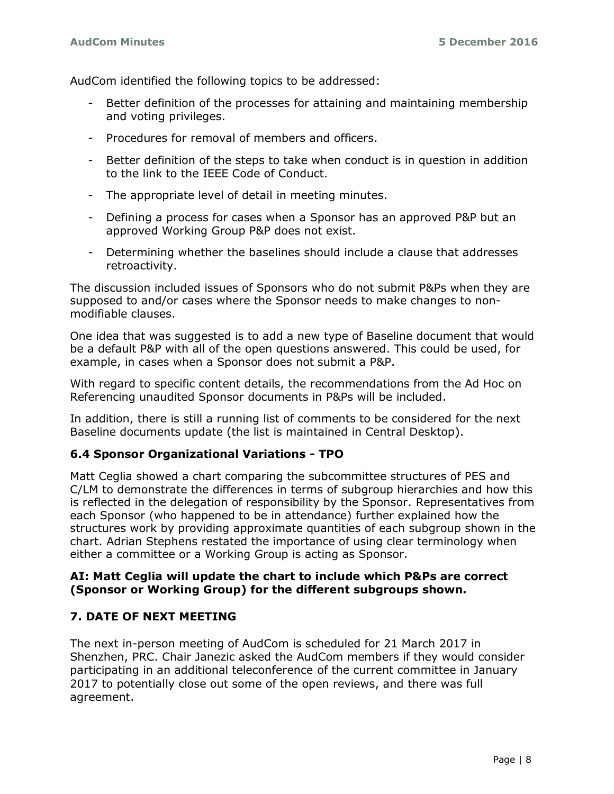AudCom identified the following topics to be addressed:

- Better definition of the processes for attaining and maintaining membership and voting privileges.
- Procedures for removal of members and officers.
- Better definition of the steps to take when conduct is in question in addition to the link to the IEEE Code of Conduct.
- The appropriate level of detail in meeting minutes.
- Defining a process for cases when a Sponsor has an approved P&P but an approved Working Group P&P does not exist.
- Determining whether the baselines should include a clause that addresses retroactivity.

The discussion included issues of Sponsors who do not submit P&Ps when they are supposed to and/or cases where the Sponsor needs to make changes to nonmodifiable clauses.

One idea that was suggested is to add a new type of Baseline document that would be a default P&P with all of the open questions answered. This could be used, for example, in cases when a Sponsor does not submit a P&P.

With regard to specific content details, the recommendations from the Ad Hoc on Referencing unaudited Sponsor documents in P&Ps will be included.

In addition, there is still a running list of comments to be considered for the next Baseline documents update (the list is maintained in Central Desktop).

# **6.4 Sponsor Organizational Variations - TPO**

Matt Ceglia showed a chart comparing the subcommittee structures of PES and C/LM to demonstrate the differences in terms of subgroup hierarchies and how this is reflected in the delegation of responsibility by the Sponsor. Representatives from each Sponsor (who happened to be in attendance) further explained how the structures work by providing approximate quantities of each subgroup shown in the chart. Adrian Stephens restated the importance of using clear terminology when either a committee or a Working Group is acting as Sponsor.

### **AI: Matt Ceglia will update the chart to include which P&Ps are correct (Sponsor or Working Group) for the different subgroups shown.**

# **7. DATE OF NEXT MEETING**

The next in-person meeting of AudCom is scheduled for 21 March 2017 in Shenzhen, PRC. Chair Janezic asked the AudCom members if they would consider participating in an additional teleconference of the current committee in January 2017 to potentially close out some of the open reviews, and there was full agreement.